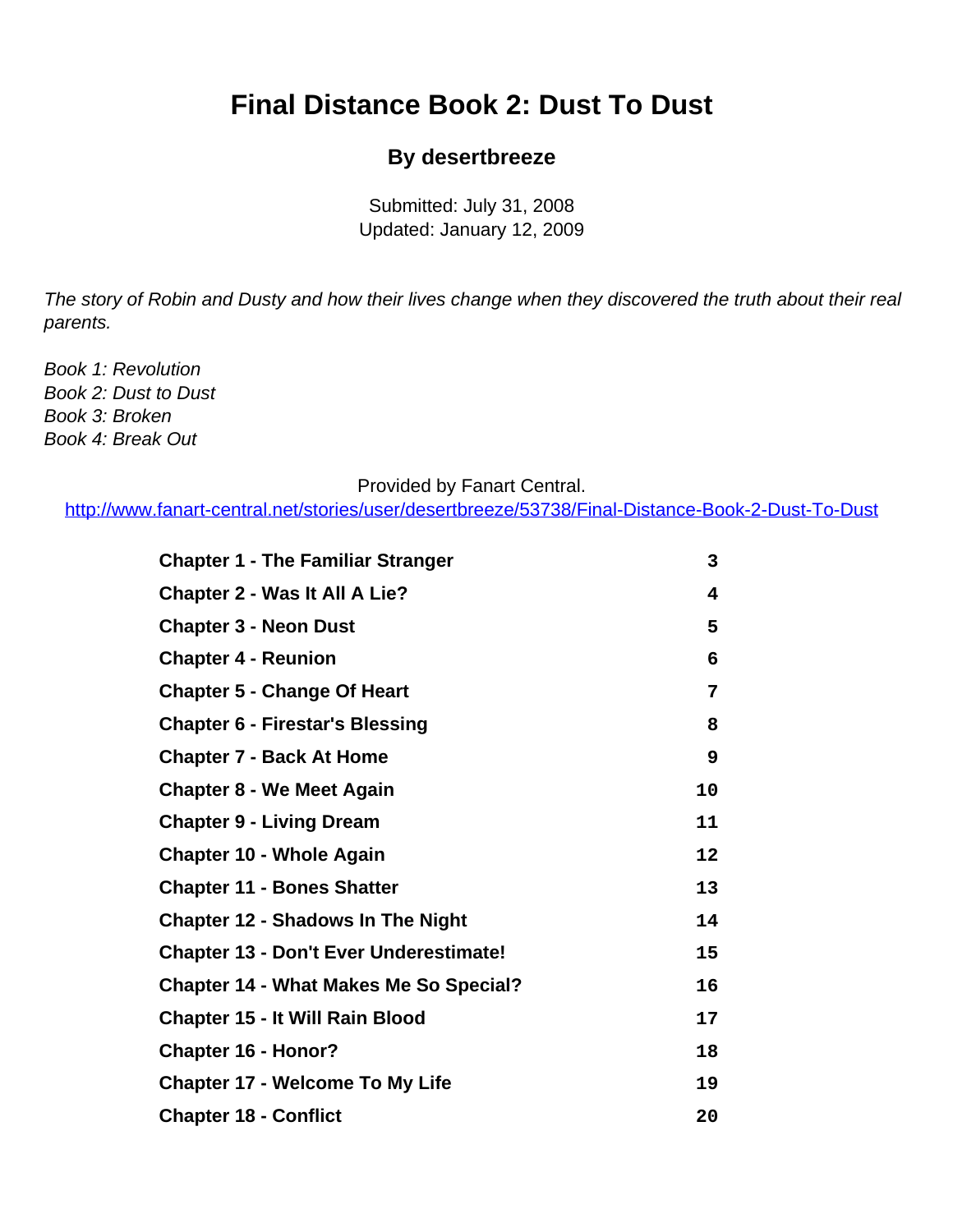## <span id="page-0-0"></span>**Final Distance Book 2: Dust To Dust**

#### **By desertbreeze**

Submitted: July 31, 2008 Updated: January 12, 2009

The story of Robin and Dusty and how their lives change when they discovered the truth about their real parents.

Book 1: Revolution Book 2: Dust to Dust Book 3: Broken Book 4: Break Out

#### Provided by Fanart Central.

[http://www.fanart-central.net/stories/user/desertbreeze/53738/Final-Distance-Book-2-Dust-To-Dust](#page-0-0)

| <b>Chapter 1 - The Familiar Stranger</b>      | 3       |
|-----------------------------------------------|---------|
| <b>Chapter 2 - Was It All A Lie?</b>          | 4       |
| <b>Chapter 3 - Neon Dust</b>                  | 5       |
| <b>Chapter 4 - Reunion</b>                    | 6       |
| <b>Chapter 5 - Change Of Heart</b>            | 7       |
| <b>Chapter 6 - Firestar's Blessing</b>        | 8       |
| <b>Chapter 7 - Back At Home</b>               | 9       |
| <b>Chapter 8 - We Meet Again</b>              | 10      |
| <b>Chapter 9 - Living Dream</b>               | 11      |
| <b>Chapter 10 - Whole Again</b>               | $12 \,$ |
| <b>Chapter 11 - Bones Shatter</b>             | 13      |
| <b>Chapter 12 - Shadows In The Night</b>      | 14      |
| <b>Chapter 13 - Don't Ever Underestimate!</b> | 15      |
| <b>Chapter 14 - What Makes Me So Special?</b> | 16      |
| <b>Chapter 15 - It Will Rain Blood</b>        | 17      |
| <b>Chapter 16 - Honor?</b>                    | 18      |
| <b>Chapter 17 - Welcome To My Life</b>        | 19      |
| <b>Chapter 18 - Conflict</b>                  | 20      |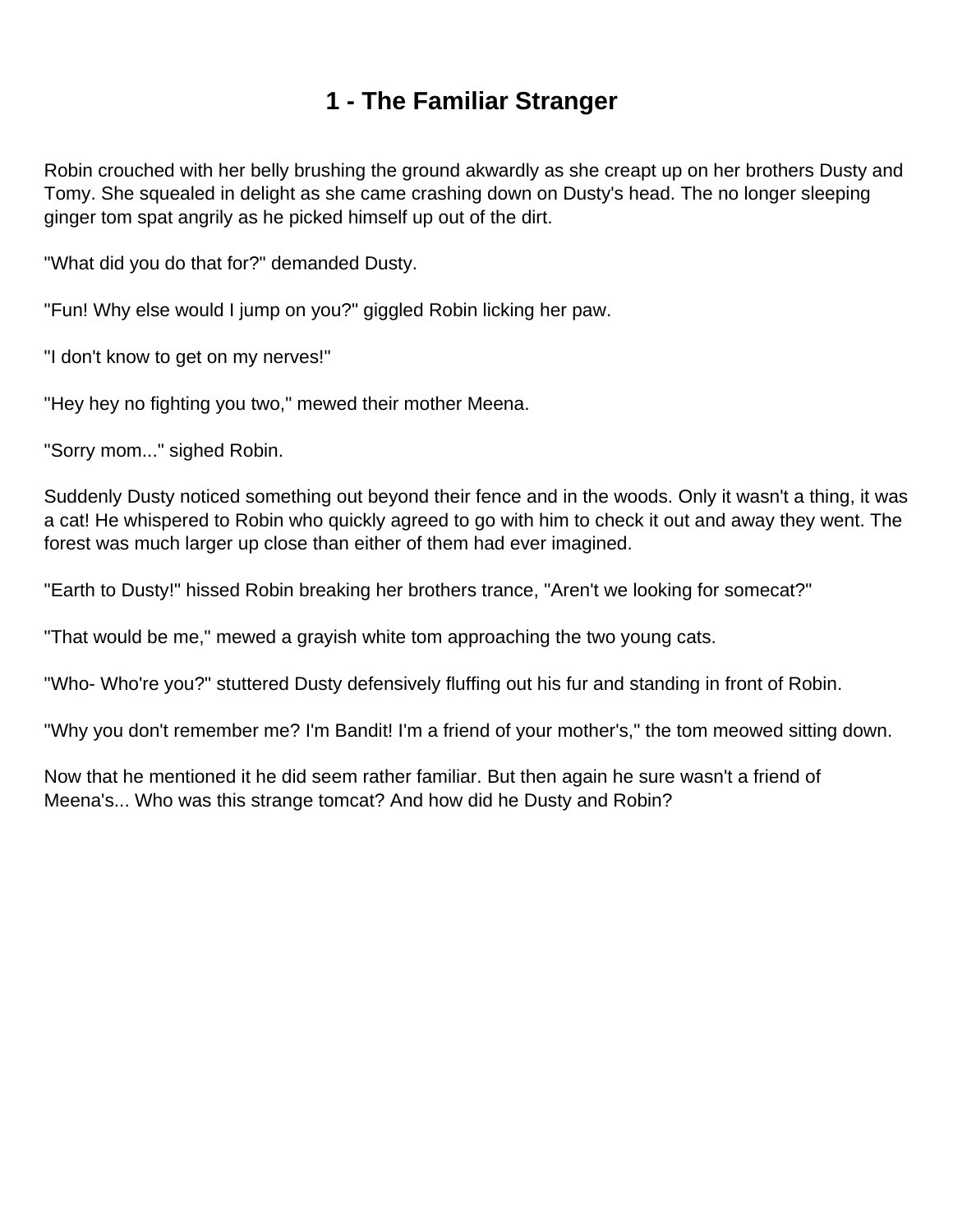## **1 - The Familiar Stranger**

<span id="page-2-0"></span>Robin crouched with her belly brushing the ground akwardly as she creapt up on her brothers Dusty and Tomy. She squealed in delight as she came crashing down on Dusty's head. The no longer sleeping ginger tom spat angrily as he picked himself up out of the dirt.

"What did you do that for?" demanded Dusty.

"Fun! Why else would I jump on you?" giggled Robin licking her paw.

"I don't know to get on my nerves!"

"Hey hey no fighting you two," mewed their mother Meena.

"Sorry mom..." sighed Robin.

Suddenly Dusty noticed something out beyond their fence and in the woods. Only it wasn't a thing, it was a cat! He whispered to Robin who quickly agreed to go with him to check it out and away they went. The forest was much larger up close than either of them had ever imagined.

"Earth to Dusty!" hissed Robin breaking her brothers trance, "Aren't we looking for somecat?"

"That would be me," mewed a grayish white tom approaching the two young cats.

"Who- Who're you?" stuttered Dusty defensively fluffing out his fur and standing in front of Robin.

"Why you don't remember me? I'm Bandit! I'm a friend of your mother's," the tom meowed sitting down.

Now that he mentioned it he did seem rather familiar. But then again he sure wasn't a friend of Meena's... Who was this strange tomcat? And how did he Dusty and Robin?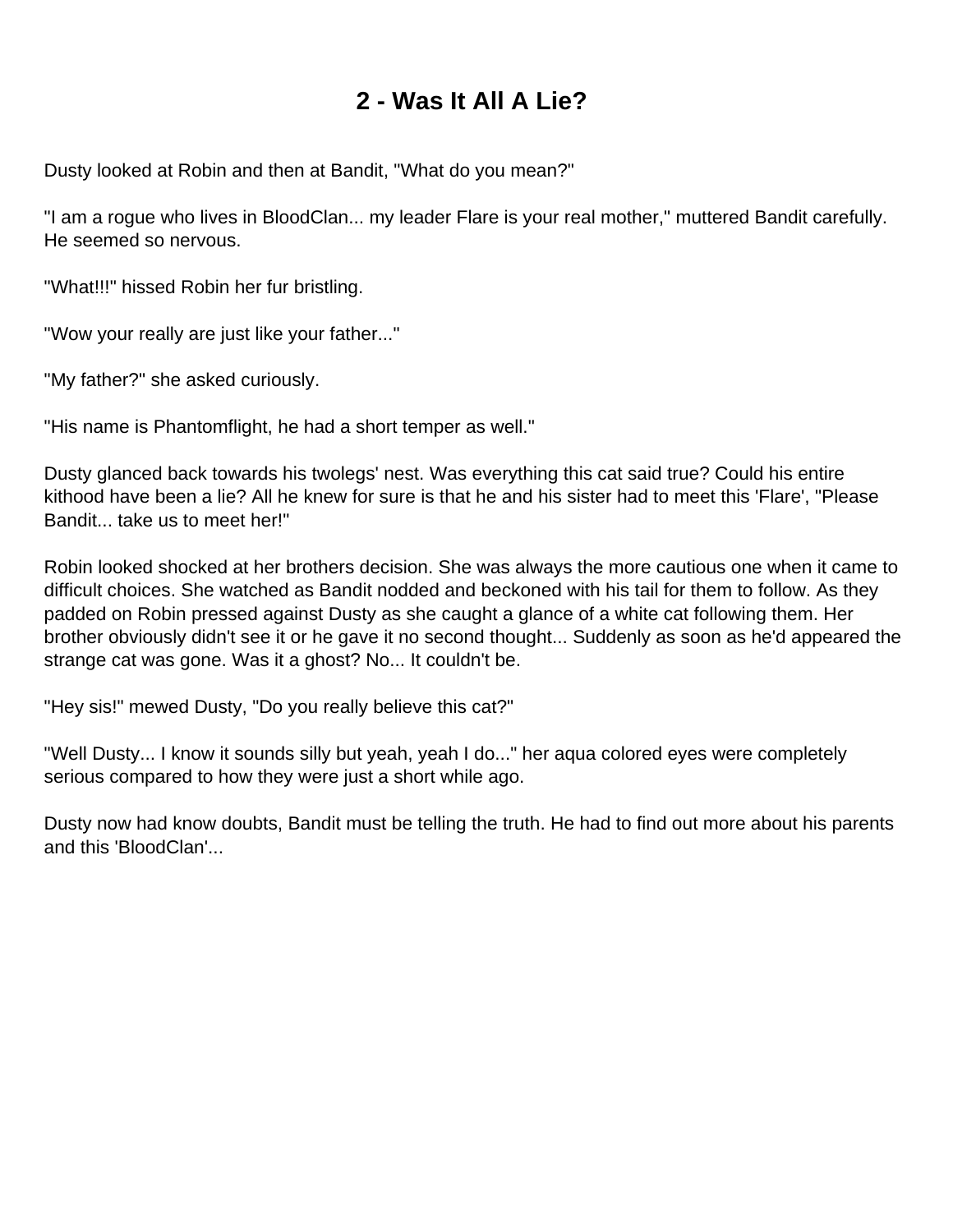## **2 - Was It All A Lie?**

<span id="page-3-0"></span>Dusty looked at Robin and then at Bandit, "What do you mean?"

"I am a rogue who lives in BloodClan... my leader Flare is your real mother," muttered Bandit carefully. He seemed so nervous.

"What!!!" hissed Robin her fur bristling.

"Wow your really are just like your father..."

"My father?" she asked curiously.

"His name is Phantomflight, he had a short temper as well."

Dusty glanced back towards his twolegs' nest. Was everything this cat said true? Could his entire kithood have been a lie? All he knew for sure is that he and his sister had to meet this 'Flare', "Please Bandit... take us to meet her!"

Robin looked shocked at her brothers decision. She was always the more cautious one when it came to difficult choices. She watched as Bandit nodded and beckoned with his tail for them to follow. As they padded on Robin pressed against Dusty as she caught a glance of a white cat following them. Her brother obviously didn't see it or he gave it no second thought... Suddenly as soon as he'd appeared the strange cat was gone. Was it a ghost? No... It couldn't be.

"Hey sis!" mewed Dusty, "Do you really believe this cat?"

"Well Dusty... I know it sounds silly but yeah, yeah I do..." her aqua colored eyes were completely serious compared to how they were just a short while ago.

Dusty now had know doubts, Bandit must be telling the truth. He had to find out more about his parents and this 'BloodClan'...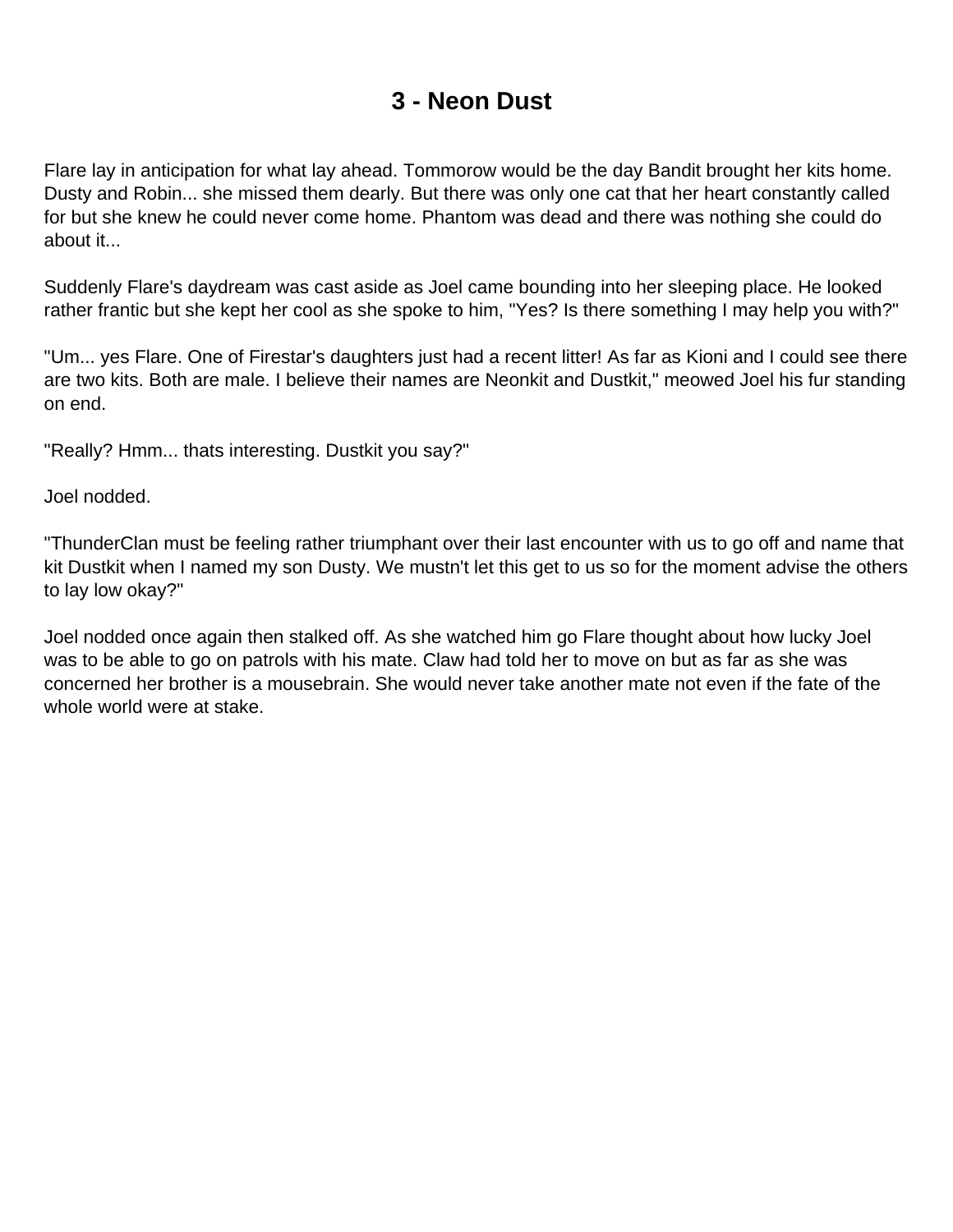## **3 - Neon Dust**

<span id="page-4-0"></span>Flare lay in anticipation for what lay ahead. Tommorow would be the day Bandit brought her kits home. Dusty and Robin... she missed them dearly. But there was only one cat that her heart constantly called for but she knew he could never come home. Phantom was dead and there was nothing she could do about it...

Suddenly Flare's daydream was cast aside as Joel came bounding into her sleeping place. He looked rather frantic but she kept her cool as she spoke to him, "Yes? Is there something I may help you with?"

"Um... yes Flare. One of Firestar's daughters just had a recent litter! As far as Kioni and I could see there are two kits. Both are male. I believe their names are Neonkit and Dustkit," meowed Joel his fur standing on end.

"Really? Hmm... thats interesting. Dustkit you say?"

Joel nodded.

"ThunderClan must be feeling rather triumphant over their last encounter with us to go off and name that kit Dustkit when I named my son Dusty. We mustn't let this get to us so for the moment advise the others to lay low okay?"

Joel nodded once again then stalked off. As she watched him go Flare thought about how lucky Joel was to be able to go on patrols with his mate. Claw had told her to move on but as far as she was concerned her brother is a mousebrain. She would never take another mate not even if the fate of the whole world were at stake.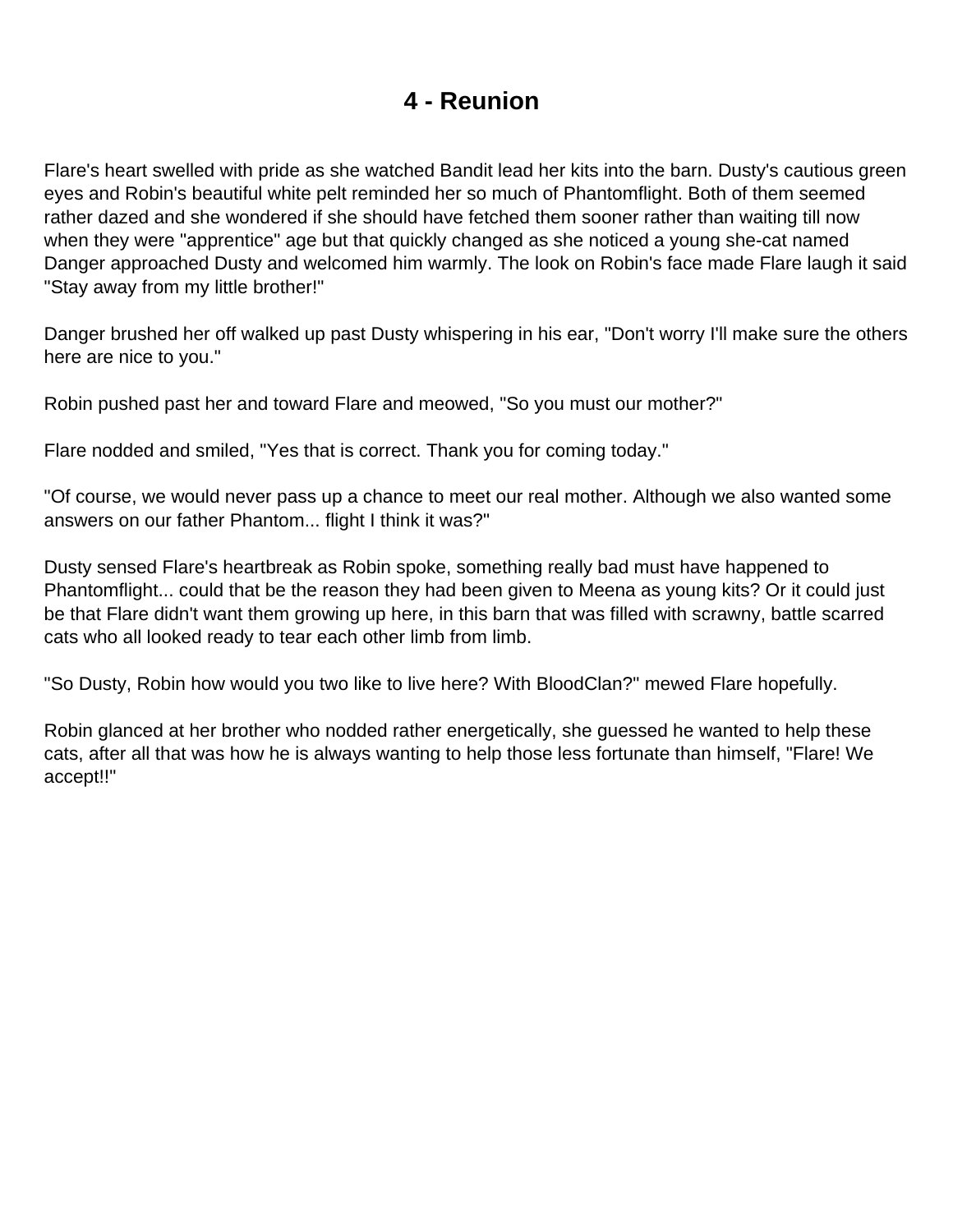### **4 - Reunion**

<span id="page-5-0"></span>Flare's heart swelled with pride as she watched Bandit lead her kits into the barn. Dusty's cautious green eyes and Robin's beautiful white pelt reminded her so much of Phantomflight. Both of them seemed rather dazed and she wondered if she should have fetched them sooner rather than waiting till now when they were "apprentice" age but that quickly changed as she noticed a young she-cat named Danger approached Dusty and welcomed him warmly. The look on Robin's face made Flare laugh it said "Stay away from my little brother!"

Danger brushed her off walked up past Dusty whispering in his ear, "Don't worry I'll make sure the others here are nice to you."

Robin pushed past her and toward Flare and meowed, "So you must our mother?"

Flare nodded and smiled, "Yes that is correct. Thank you for coming today."

"Of course, we would never pass up a chance to meet our real mother. Although we also wanted some answers on our father Phantom... flight I think it was?"

Dusty sensed Flare's heartbreak as Robin spoke, something really bad must have happened to Phantomflight... could that be the reason they had been given to Meena as young kits? Or it could just be that Flare didn't want them growing up here, in this barn that was filled with scrawny, battle scarred cats who all looked ready to tear each other limb from limb.

"So Dusty, Robin how would you two like to live here? With BloodClan?" mewed Flare hopefully.

Robin glanced at her brother who nodded rather energetically, she guessed he wanted to help these cats, after all that was how he is always wanting to help those less fortunate than himself, "Flare! We accept!!"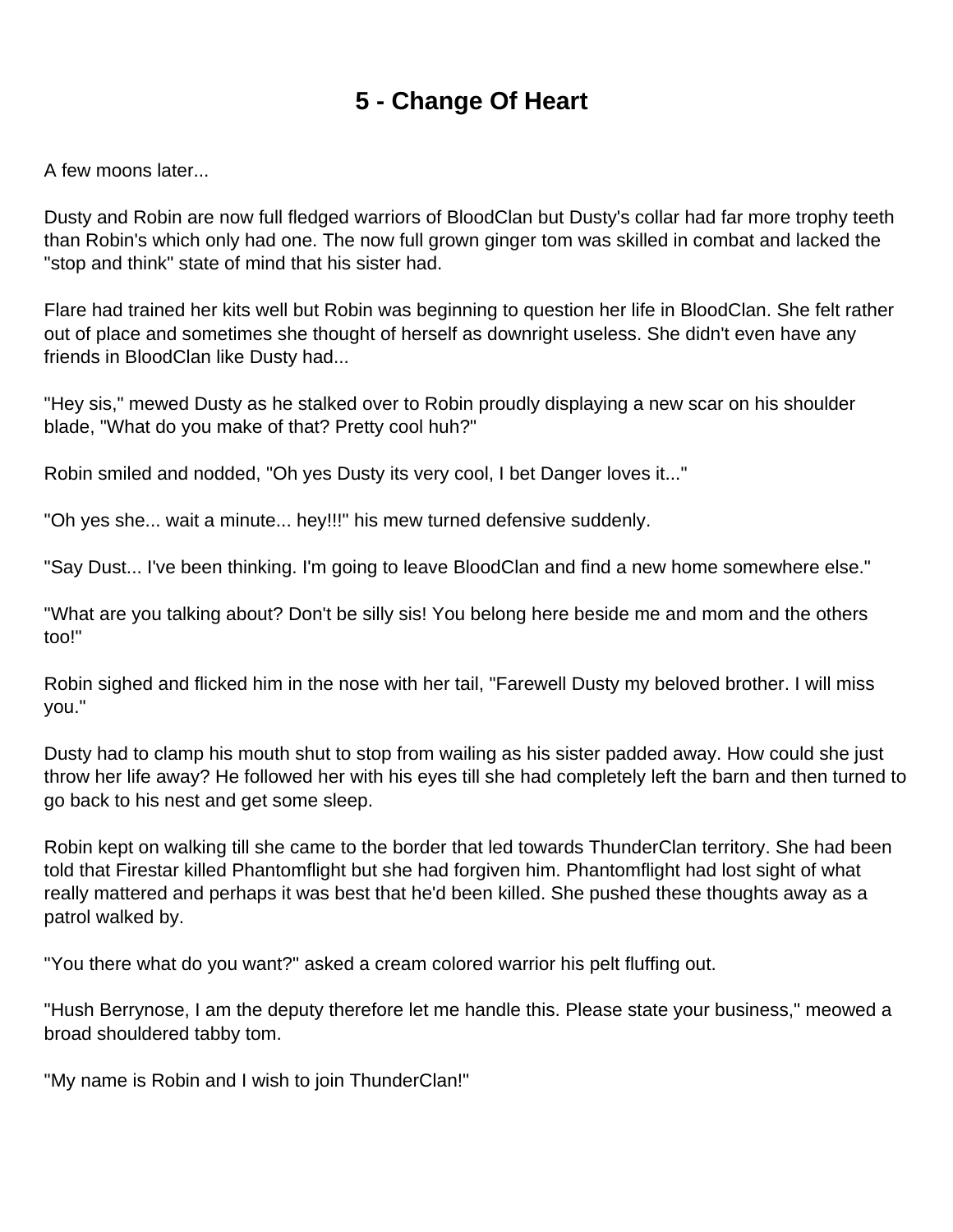## **5 - Change Of Heart**

<span id="page-6-0"></span>A few moons later...

Dusty and Robin are now full fledged warriors of BloodClan but Dusty's collar had far more trophy teeth than Robin's which only had one. The now full grown ginger tom was skilled in combat and lacked the "stop and think" state of mind that his sister had.

Flare had trained her kits well but Robin was beginning to question her life in BloodClan. She felt rather out of place and sometimes she thought of herself as downright useless. She didn't even have any friends in BloodClan like Dusty had...

"Hey sis," mewed Dusty as he stalked over to Robin proudly displaying a new scar on his shoulder blade, "What do you make of that? Pretty cool huh?"

Robin smiled and nodded, "Oh yes Dusty its very cool, I bet Danger loves it..."

"Oh yes she... wait a minute... hey!!!" his mew turned defensive suddenly.

"Say Dust... I've been thinking. I'm going to leave BloodClan and find a new home somewhere else."

"What are you talking about? Don't be silly sis! You belong here beside me and mom and the others too!"

Robin sighed and flicked him in the nose with her tail, "Farewell Dusty my beloved brother. I will miss you."

Dusty had to clamp his mouth shut to stop from wailing as his sister padded away. How could she just throw her life away? He followed her with his eyes till she had completely left the barn and then turned to go back to his nest and get some sleep.

Robin kept on walking till she came to the border that led towards ThunderClan territory. She had been told that Firestar killed Phantomflight but she had forgiven him. Phantomflight had lost sight of what really mattered and perhaps it was best that he'd been killed. She pushed these thoughts away as a patrol walked by.

"You there what do you want?" asked a cream colored warrior his pelt fluffing out.

"Hush Berrynose, I am the deputy therefore let me handle this. Please state your business," meowed a broad shouldered tabby tom.

"My name is Robin and I wish to join ThunderClan!"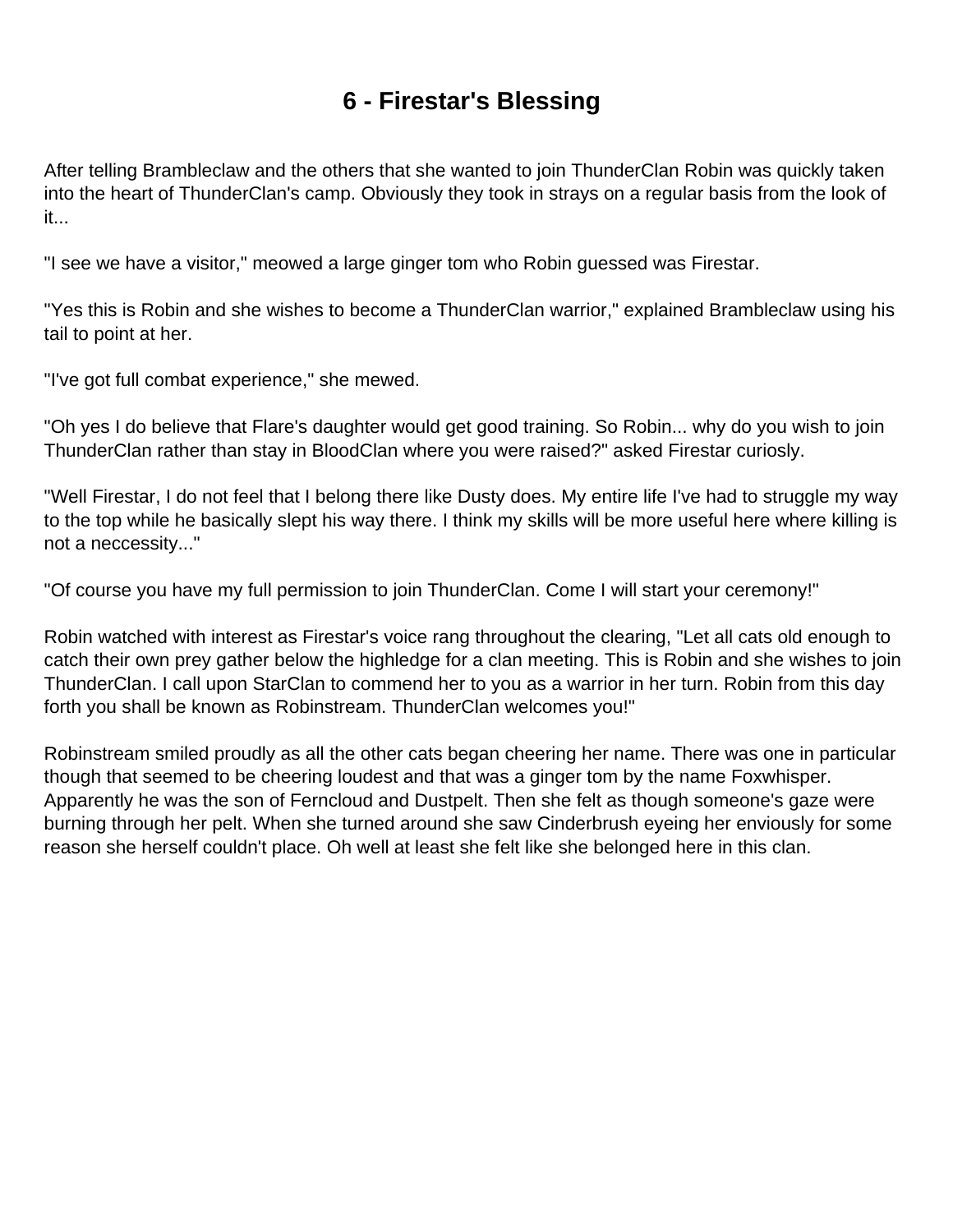## **6 - Firestar's Blessing**

<span id="page-7-0"></span>After telling Brambleclaw and the others that she wanted to join ThunderClan Robin was quickly taken into the heart of ThunderClan's camp. Obviously they took in strays on a regular basis from the look of it...

"I see we have a visitor," meowed a large ginger tom who Robin guessed was Firestar.

"Yes this is Robin and she wishes to become a ThunderClan warrior," explained Brambleclaw using his tail to point at her.

"I've got full combat experience," she mewed.

"Oh yes I do believe that Flare's daughter would get good training. So Robin... why do you wish to join ThunderClan rather than stay in BloodClan where you were raised?" asked Firestar curiosly.

"Well Firestar, I do not feel that I belong there like Dusty does. My entire life I've had to struggle my way to the top while he basically slept his way there. I think my skills will be more useful here where killing is not a neccessity..."

"Of course you have my full permission to join ThunderClan. Come I will start your ceremony!"

Robin watched with interest as Firestar's voice rang throughout the clearing, "Let all cats old enough to catch their own prey gather below the highledge for a clan meeting. This is Robin and she wishes to join ThunderClan. I call upon StarClan to commend her to you as a warrior in her turn. Robin from this day forth you shall be known as Robinstream. ThunderClan welcomes you!"

Robinstream smiled proudly as all the other cats began cheering her name. There was one in particular though that seemed to be cheering loudest and that was a ginger tom by the name Foxwhisper. Apparently he was the son of Ferncloud and Dustpelt. Then she felt as though someone's gaze were burning through her pelt. When she turned around she saw Cinderbrush eyeing her enviously for some reason she herself couldn't place. Oh well at least she felt like she belonged here in this clan.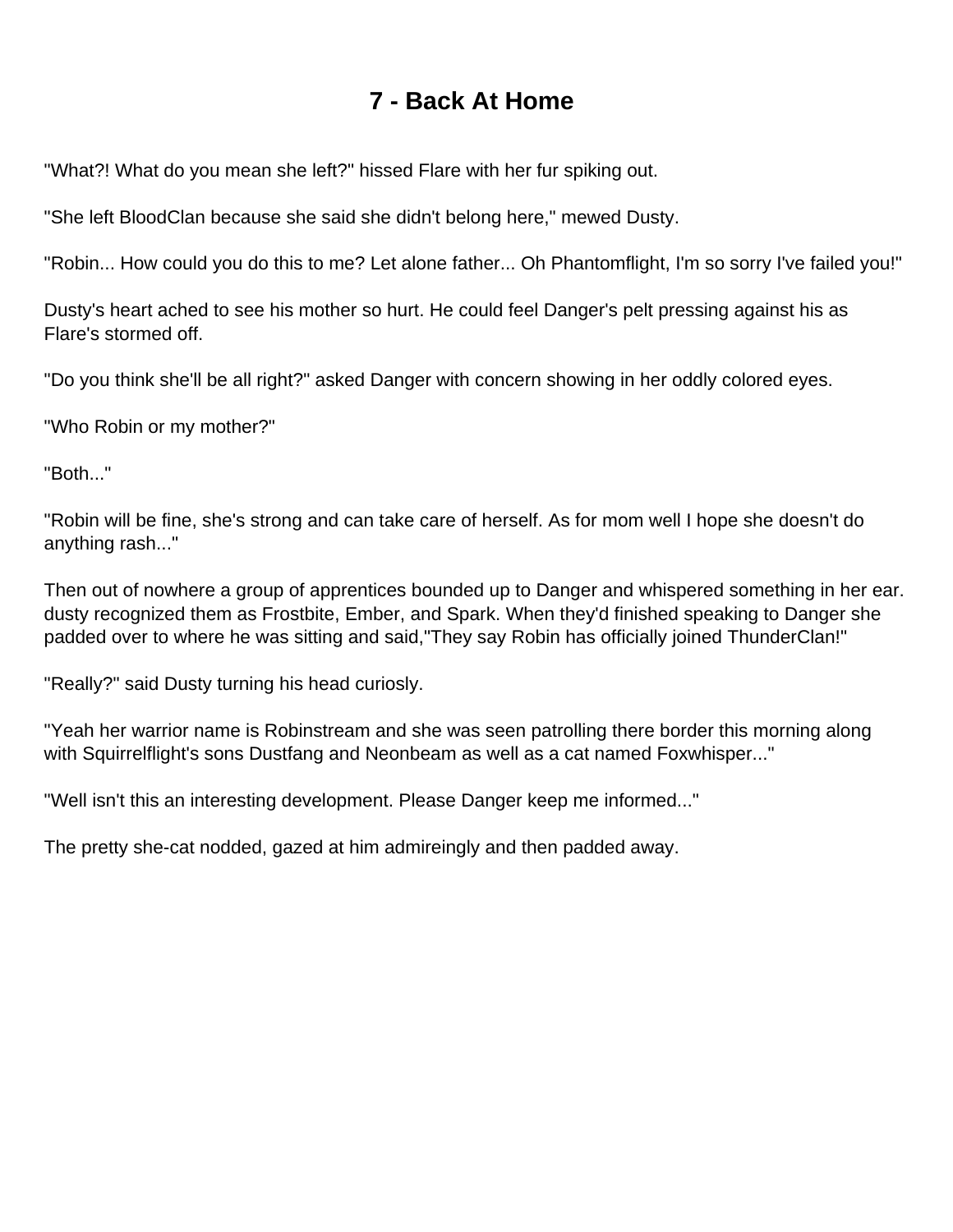## **7 - Back At Home**

<span id="page-8-0"></span>"What?! What do you mean she left?" hissed Flare with her fur spiking out.

"She left BloodClan because she said she didn't belong here," mewed Dusty.

"Robin... How could you do this to me? Let alone father... Oh Phantomflight, I'm so sorry I've failed you!"

Dusty's heart ached to see his mother so hurt. He could feel Danger's pelt pressing against his as Flare's stormed off.

"Do you think she'll be all right?" asked Danger with concern showing in her oddly colored eyes.

"Who Robin or my mother?"

"Both..."

"Robin will be fine, she's strong and can take care of herself. As for mom well I hope she doesn't do anything rash..."

Then out of nowhere a group of apprentices bounded up to Danger and whispered something in her ear. dusty recognized them as Frostbite, Ember, and Spark. When they'd finished speaking to Danger she padded over to where he was sitting and said,"They say Robin has officially joined ThunderClan!"

"Really?" said Dusty turning his head curiosly.

"Yeah her warrior name is Robinstream and she was seen patrolling there border this morning along with Squirrelflight's sons Dustfang and Neonbeam as well as a cat named Foxwhisper..."

"Well isn't this an interesting development. Please Danger keep me informed..."

The pretty she-cat nodded, gazed at him admireingly and then padded away.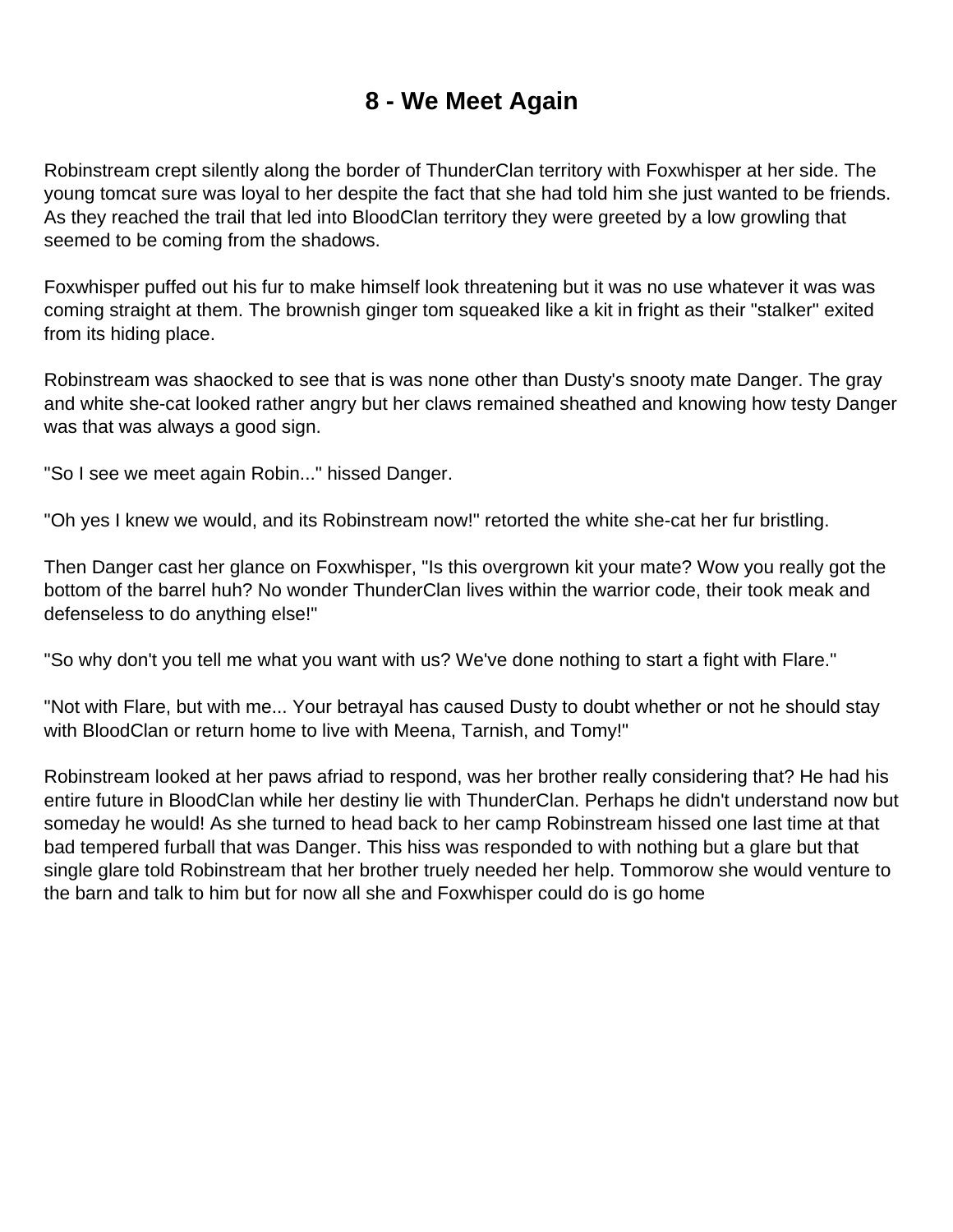## **8 - We Meet Again**

<span id="page-9-0"></span>Robinstream crept silently along the border of ThunderClan territory with Foxwhisper at her side. The young tomcat sure was loyal to her despite the fact that she had told him she just wanted to be friends. As they reached the trail that led into BloodClan territory they were greeted by a low growling that seemed to be coming from the shadows.

Foxwhisper puffed out his fur to make himself look threatening but it was no use whatever it was was coming straight at them. The brownish ginger tom squeaked like a kit in fright as their "stalker" exited from its hiding place.

Robinstream was shaocked to see that is was none other than Dusty's snooty mate Danger. The gray and white she-cat looked rather angry but her claws remained sheathed and knowing how testy Danger was that was always a good sign.

"So I see we meet again Robin..." hissed Danger.

"Oh yes I knew we would, and its Robinstream now!" retorted the white she-cat her fur bristling.

Then Danger cast her glance on Foxwhisper, "Is this overgrown kit your mate? Wow you really got the bottom of the barrel huh? No wonder ThunderClan lives within the warrior code, their took meak and defenseless to do anything else!"

"So why don't you tell me what you want with us? We've done nothing to start a fight with Flare."

"Not with Flare, but with me... Your betrayal has caused Dusty to doubt whether or not he should stay with BloodClan or return home to live with Meena, Tarnish, and Tomy!"

Robinstream looked at her paws afriad to respond, was her brother really considering that? He had his entire future in BloodClan while her destiny lie with ThunderClan. Perhaps he didn't understand now but someday he would! As she turned to head back to her camp Robinstream hissed one last time at that bad tempered furball that was Danger. This hiss was responded to with nothing but a glare but that single glare told Robinstream that her brother truely needed her help. Tommorow she would venture to the barn and talk to him but for now all she and Foxwhisper could do is go home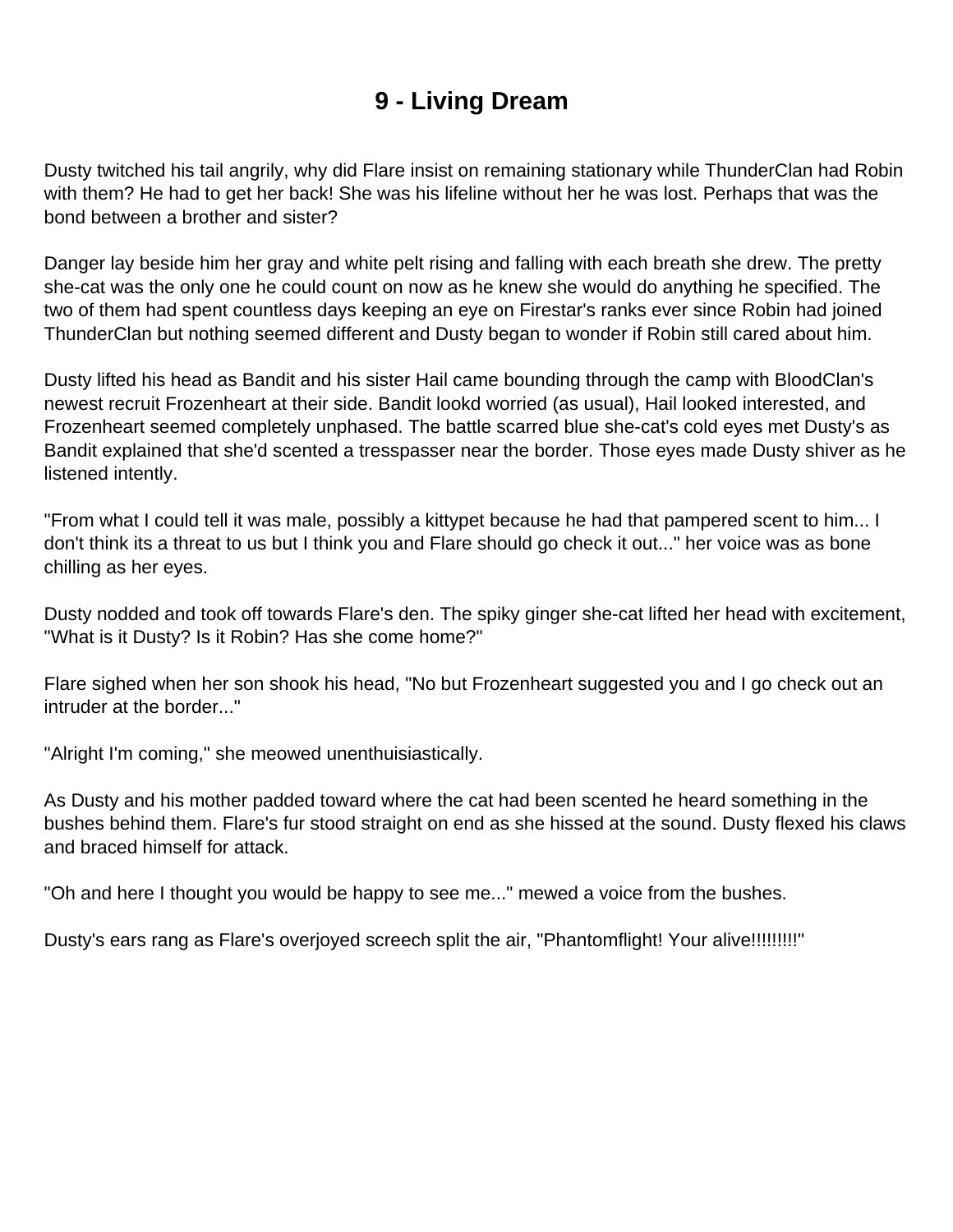## **9 - Living Dream**

<span id="page-10-0"></span>Dusty twitched his tail angrily, why did Flare insist on remaining stationary while ThunderClan had Robin with them? He had to get her back! She was his lifeline without her he was lost. Perhaps that was the bond between a brother and sister?

Danger lay beside him her gray and white pelt rising and falling with each breath she drew. The pretty she-cat was the only one he could count on now as he knew she would do anything he specified. The two of them had spent countless days keeping an eye on Firestar's ranks ever since Robin had joined ThunderClan but nothing seemed different and Dusty began to wonder if Robin still cared about him.

Dusty lifted his head as Bandit and his sister Hail came bounding through the camp with BloodClan's newest recruit Frozenheart at their side. Bandit lookd worried (as usual), Hail looked interested, and Frozenheart seemed completely unphased. The battle scarred blue she-cat's cold eyes met Dusty's as Bandit explained that she'd scented a tresspasser near the border. Those eyes made Dusty shiver as he listened intently.

"From what I could tell it was male, possibly a kittypet because he had that pampered scent to him... I don't think its a threat to us but I think you and Flare should go check it out..." her voice was as bone chilling as her eyes.

Dusty nodded and took off towards Flare's den. The spiky ginger she-cat lifted her head with excitement, "What is it Dusty? Is it Robin? Has she come home?"

Flare sighed when her son shook his head, "No but Frozenheart suggested you and I go check out an intruder at the border..."

"Alright I'm coming," she meowed unenthuisiastically.

As Dusty and his mother padded toward where the cat had been scented he heard something in the bushes behind them. Flare's fur stood straight on end as she hissed at the sound. Dusty flexed his claws and braced himself for attack.

"Oh and here I thought you would be happy to see me..." mewed a voice from the bushes.

Dusty's ears rang as Flare's overjoyed screech split the air, "Phantomflight! Your alive!!!!!!!!!!"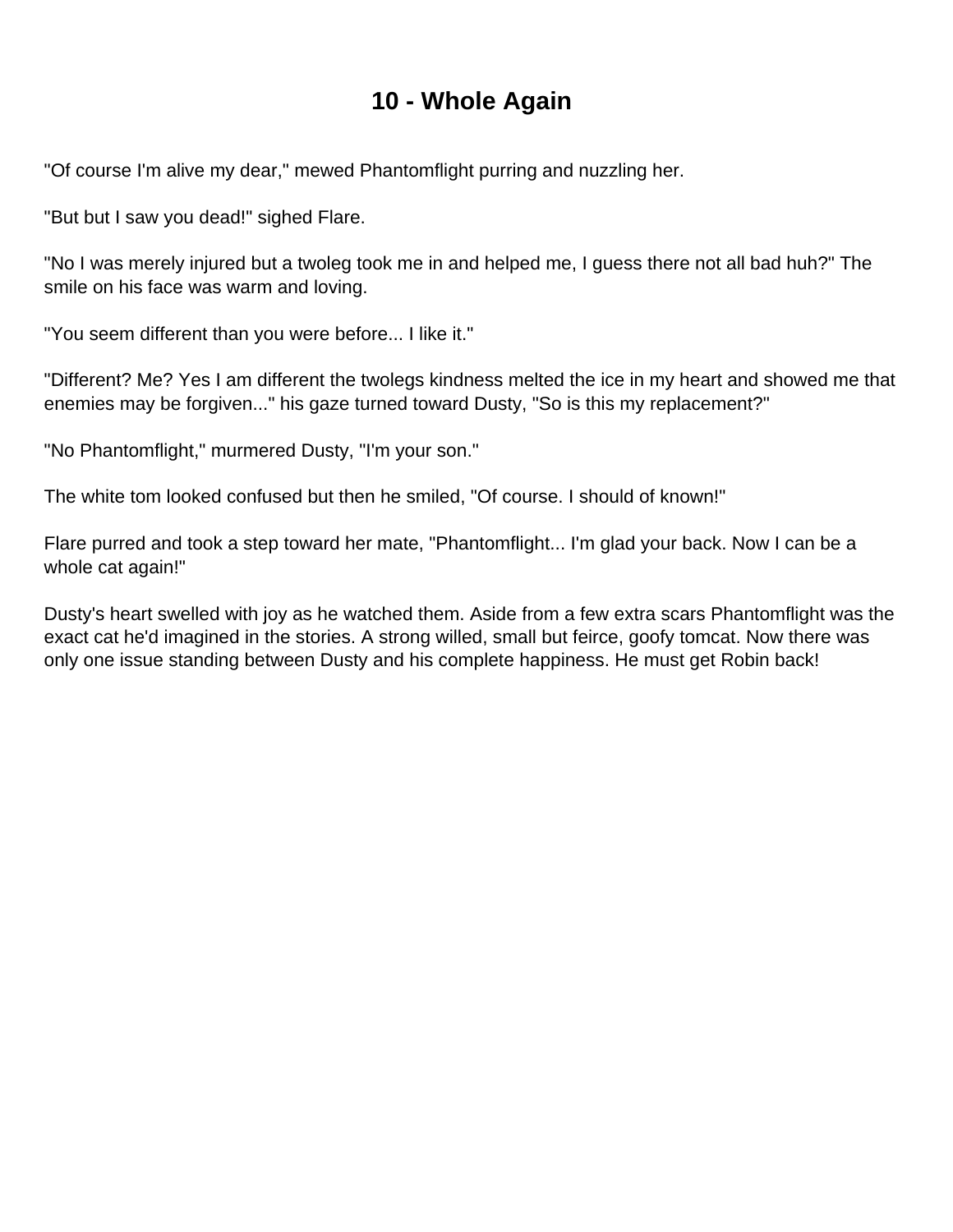#### **10 - Whole Again**

<span id="page-11-0"></span>"Of course I'm alive my dear," mewed Phantomflight purring and nuzzling her.

"But but I saw you dead!" sighed Flare.

"No I was merely injured but a twoleg took me in and helped me, I guess there not all bad huh?" The smile on his face was warm and loving.

"You seem different than you were before... I like it."

"Different? Me? Yes I am different the twolegs kindness melted the ice in my heart and showed me that enemies may be forgiven..." his gaze turned toward Dusty, "So is this my replacement?"

"No Phantomflight," murmered Dusty, "I'm your son."

The white tom looked confused but then he smiled, "Of course. I should of known!"

Flare purred and took a step toward her mate, "Phantomflight... I'm glad your back. Now I can be a whole cat again!"

Dusty's heart swelled with joy as he watched them. Aside from a few extra scars Phantomflight was the exact cat he'd imagined in the stories. A strong willed, small but feirce, goofy tomcat. Now there was only one issue standing between Dusty and his complete happiness. He must get Robin back!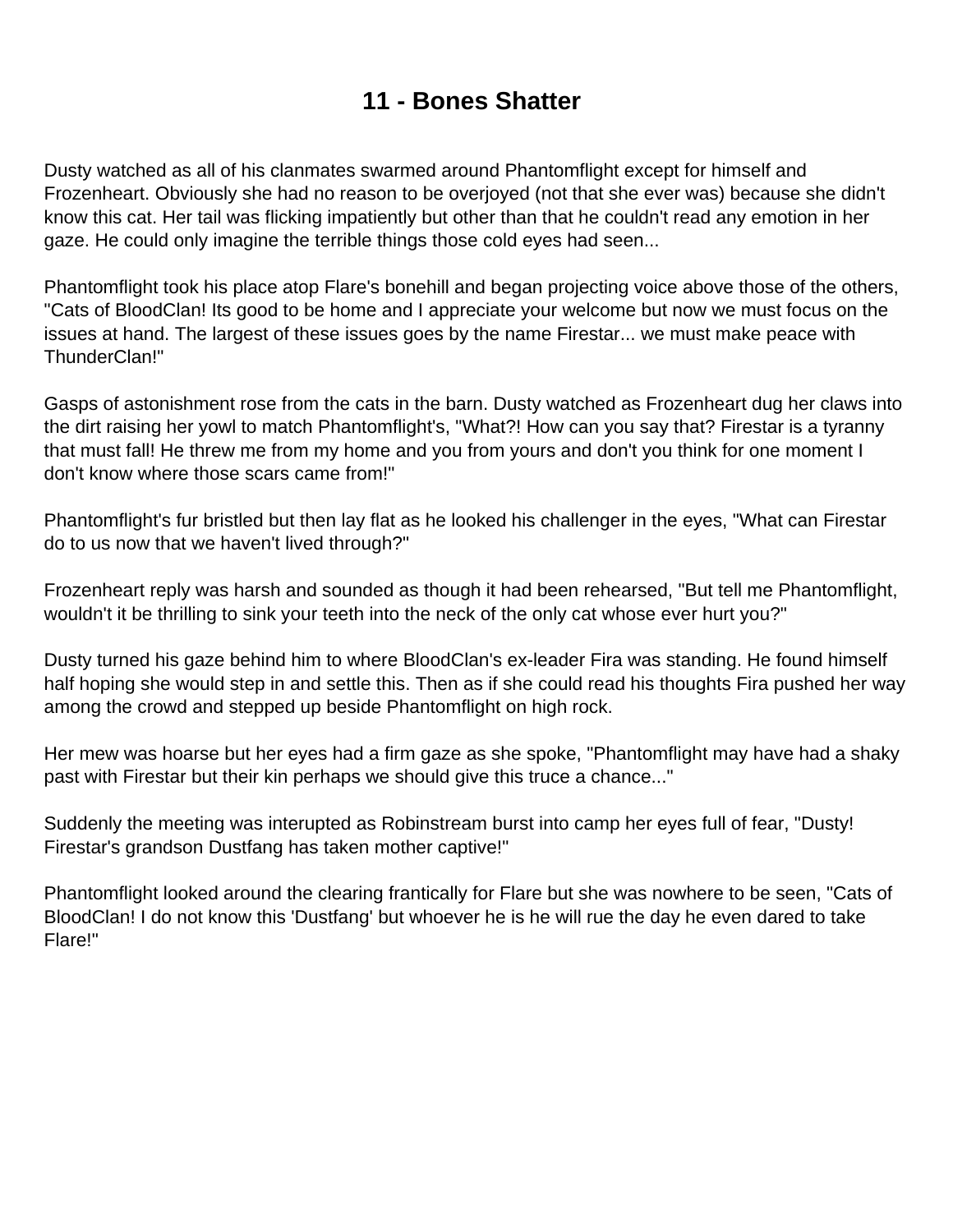### **11 - Bones Shatter**

<span id="page-12-0"></span>Dusty watched as all of his clanmates swarmed around Phantomflight except for himself and Frozenheart. Obviously she had no reason to be overjoyed (not that she ever was) because she didn't know this cat. Her tail was flicking impatiently but other than that he couldn't read any emotion in her gaze. He could only imagine the terrible things those cold eyes had seen...

Phantomflight took his place atop Flare's bonehill and began projecting voice above those of the others, "Cats of BloodClan! Its good to be home and I appreciate your welcome but now we must focus on the issues at hand. The largest of these issues goes by the name Firestar... we must make peace with ThunderClan!"

Gasps of astonishment rose from the cats in the barn. Dusty watched as Frozenheart dug her claws into the dirt raising her yowl to match Phantomflight's, "What?! How can you say that? Firestar is a tyranny that must fall! He threw me from my home and you from yours and don't you think for one moment I don't know where those scars came from!"

Phantomflight's fur bristled but then lay flat as he looked his challenger in the eyes, "What can Firestar do to us now that we haven't lived through?"

Frozenheart reply was harsh and sounded as though it had been rehearsed, "But tell me Phantomflight, wouldn't it be thrilling to sink your teeth into the neck of the only cat whose ever hurt you?"

Dusty turned his gaze behind him to where BloodClan's ex-leader Fira was standing. He found himself half hoping she would step in and settle this. Then as if she could read his thoughts Fira pushed her way among the crowd and stepped up beside Phantomflight on high rock.

Her mew was hoarse but her eyes had a firm gaze as she spoke, "Phantomflight may have had a shaky past with Firestar but their kin perhaps we should give this truce a chance..."

Suddenly the meeting was interupted as Robinstream burst into camp her eyes full of fear, "Dusty! Firestar's grandson Dustfang has taken mother captive!"

Phantomflight looked around the clearing frantically for Flare but she was nowhere to be seen, "Cats of BloodClan! I do not know this 'Dustfang' but whoever he is he will rue the day he even dared to take Flare!"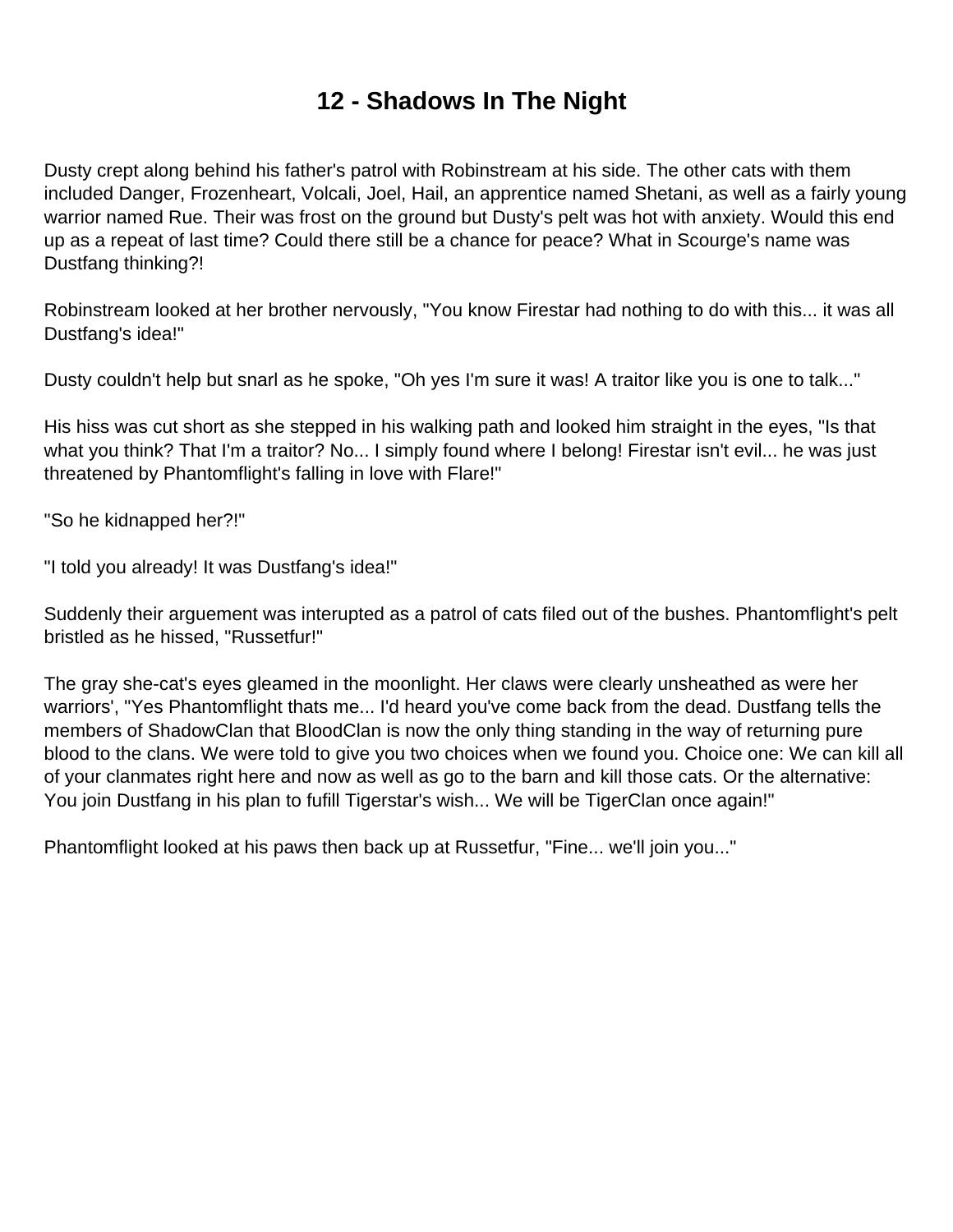## **12 - Shadows In The Night**

<span id="page-13-0"></span>Dusty crept along behind his father's patrol with Robinstream at his side. The other cats with them included Danger, Frozenheart, Volcali, Joel, Hail, an apprentice named Shetani, as well as a fairly young warrior named Rue. Their was frost on the ground but Dusty's pelt was hot with anxiety. Would this end up as a repeat of last time? Could there still be a chance for peace? What in Scourge's name was Dustfang thinking?!

Robinstream looked at her brother nervously, "You know Firestar had nothing to do with this... it was all Dustfang's idea!"

Dusty couldn't help but snarl as he spoke, "Oh yes I'm sure it was! A traitor like you is one to talk..."

His hiss was cut short as she stepped in his walking path and looked him straight in the eyes, "Is that what you think? That I'm a traitor? No... I simply found where I belong! Firestar isn't evil... he was just threatened by Phantomflight's falling in love with Flare!"

"So he kidnapped her?!"

"I told you already! It was Dustfang's idea!"

Suddenly their arguement was interupted as a patrol of cats filed out of the bushes. Phantomflight's pelt bristled as he hissed, "Russetfur!"

The gray she-cat's eyes gleamed in the moonlight. Her claws were clearly unsheathed as were her warriors', "Yes Phantomflight thats me... I'd heard you've come back from the dead. Dustfang tells the members of ShadowClan that BloodClan is now the only thing standing in the way of returning pure blood to the clans. We were told to give you two choices when we found you. Choice one: We can kill all of your clanmates right here and now as well as go to the barn and kill those cats. Or the alternative: You join Dustfang in his plan to fufill Tigerstar's wish... We will be TigerClan once again!"

Phantomflight looked at his paws then back up at Russetfur, "Fine... we'll join you..."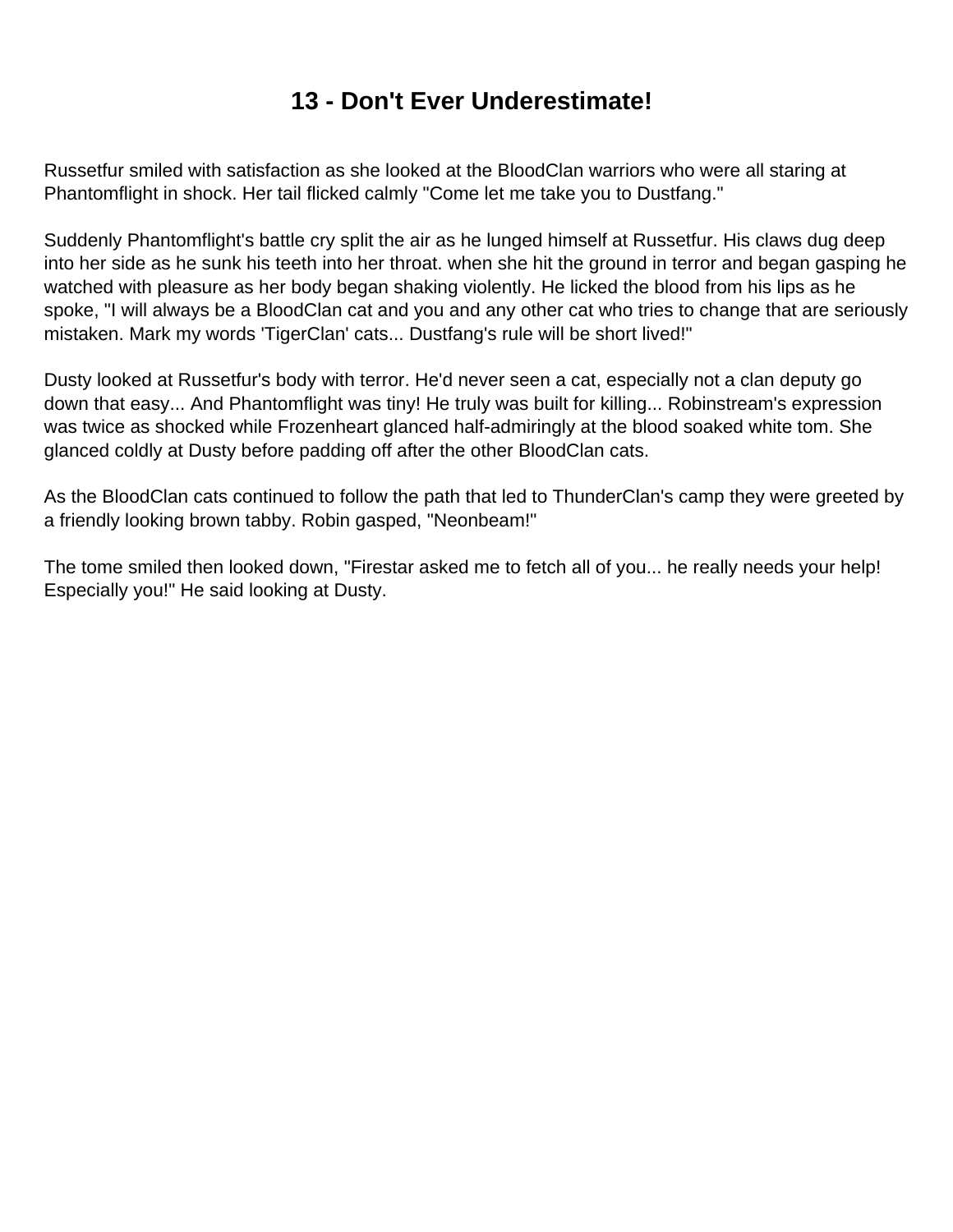## **13 - Don't Ever Underestimate!**

<span id="page-14-0"></span>Russetfur smiled with satisfaction as she looked at the BloodClan warriors who were all staring at Phantomflight in shock. Her tail flicked calmly "Come let me take you to Dustfang."

Suddenly Phantomflight's battle cry split the air as he lunged himself at Russetfur. His claws dug deep into her side as he sunk his teeth into her throat. when she hit the ground in terror and began gasping he watched with pleasure as her body began shaking violently. He licked the blood from his lips as he spoke, "I will always be a BloodClan cat and you and any other cat who tries to change that are seriously mistaken. Mark my words 'TigerClan' cats... Dustfang's rule will be short lived!"

Dusty looked at Russetfur's body with terror. He'd never seen a cat, especially not a clan deputy go down that easy... And Phantomflight was tiny! He truly was built for killing... Robinstream's expression was twice as shocked while Frozenheart glanced half-admiringly at the blood soaked white tom. She glanced coldly at Dusty before padding off after the other BloodClan cats.

As the BloodClan cats continued to follow the path that led to ThunderClan's camp they were greeted by a friendly looking brown tabby. Robin gasped, "Neonbeam!"

The tome smiled then looked down, "Firestar asked me to fetch all of you... he really needs your help! Especially you!" He said looking at Dusty.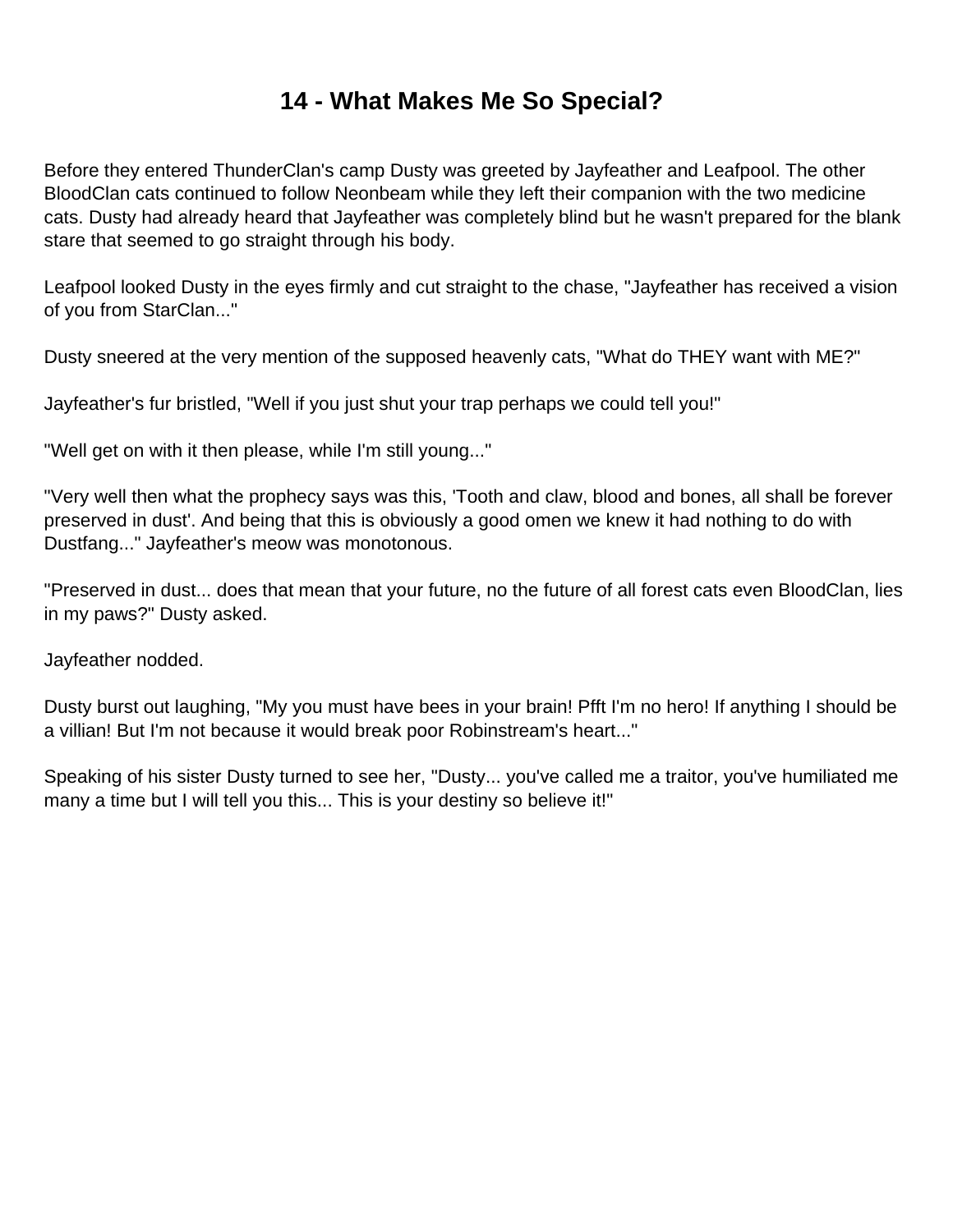## **14 - What Makes Me So Special?**

<span id="page-15-0"></span>Before they entered ThunderClan's camp Dusty was greeted by Jayfeather and Leafpool. The other BloodClan cats continued to follow Neonbeam while they left their companion with the two medicine cats. Dusty had already heard that Jayfeather was completely blind but he wasn't prepared for the blank stare that seemed to go straight through his body.

Leafpool looked Dusty in the eyes firmly and cut straight to the chase, "Jayfeather has received a vision of you from StarClan..."

Dusty sneered at the very mention of the supposed heavenly cats, "What do THEY want with ME?"

Jayfeather's fur bristled, "Well if you just shut your trap perhaps we could tell you!"

"Well get on with it then please, while I'm still young..."

"Very well then what the prophecy says was this, 'Tooth and claw, blood and bones, all shall be forever preserved in dust'. And being that this is obviously a good omen we knew it had nothing to do with Dustfang..." Jayfeather's meow was monotonous.

"Preserved in dust... does that mean that your future, no the future of all forest cats even BloodClan, lies in my paws?" Dusty asked.

Jayfeather nodded.

Dusty burst out laughing, "My you must have bees in your brain! Pfft I'm no hero! If anything I should be a villian! But I'm not because it would break poor Robinstream's heart..."

Speaking of his sister Dusty turned to see her, "Dusty... you've called me a traitor, you've humiliated me many a time but I will tell you this... This is your destiny so believe it!"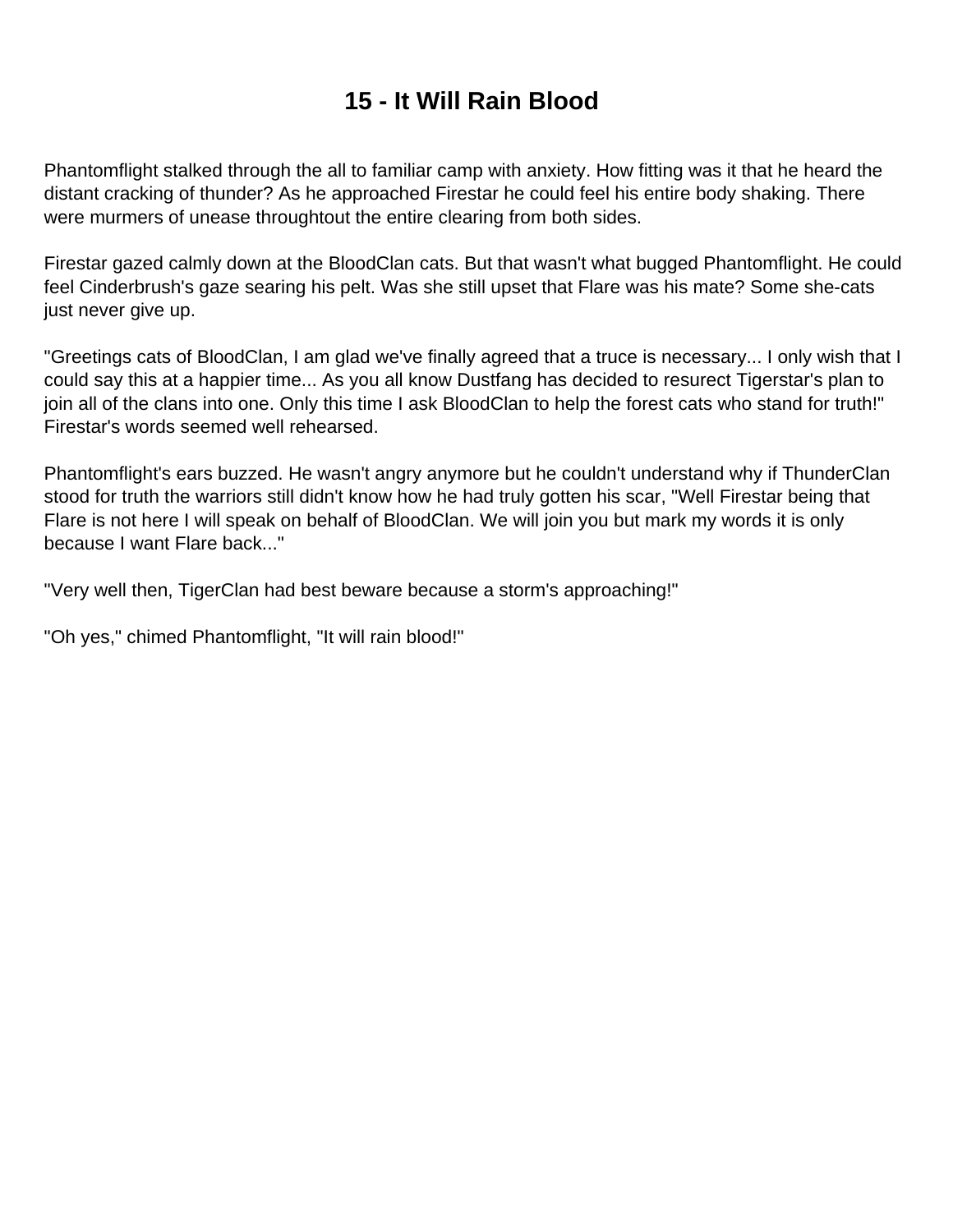# **15 - It Will Rain Blood**

<span id="page-16-0"></span>Phantomflight stalked through the all to familiar camp with anxiety. How fitting was it that he heard the distant cracking of thunder? As he approached Firestar he could feel his entire body shaking. There were murmers of unease throughtout the entire clearing from both sides.

Firestar gazed calmly down at the BloodClan cats. But that wasn't what bugged Phantomflight. He could feel Cinderbrush's gaze searing his pelt. Was she still upset that Flare was his mate? Some she-cats just never give up.

"Greetings cats of BloodClan, I am glad we've finally agreed that a truce is necessary... I only wish that I could say this at a happier time... As you all know Dustfang has decided to resurect Tigerstar's plan to join all of the clans into one. Only this time I ask BloodClan to help the forest cats who stand for truth!" Firestar's words seemed well rehearsed.

Phantomflight's ears buzzed. He wasn't angry anymore but he couldn't understand why if ThunderClan stood for truth the warriors still didn't know how he had truly gotten his scar, "Well Firestar being that Flare is not here I will speak on behalf of BloodClan. We will join you but mark my words it is only because I want Flare back..."

"Very well then, TigerClan had best beware because a storm's approaching!"

"Oh yes," chimed Phantomflight, "It will rain blood!"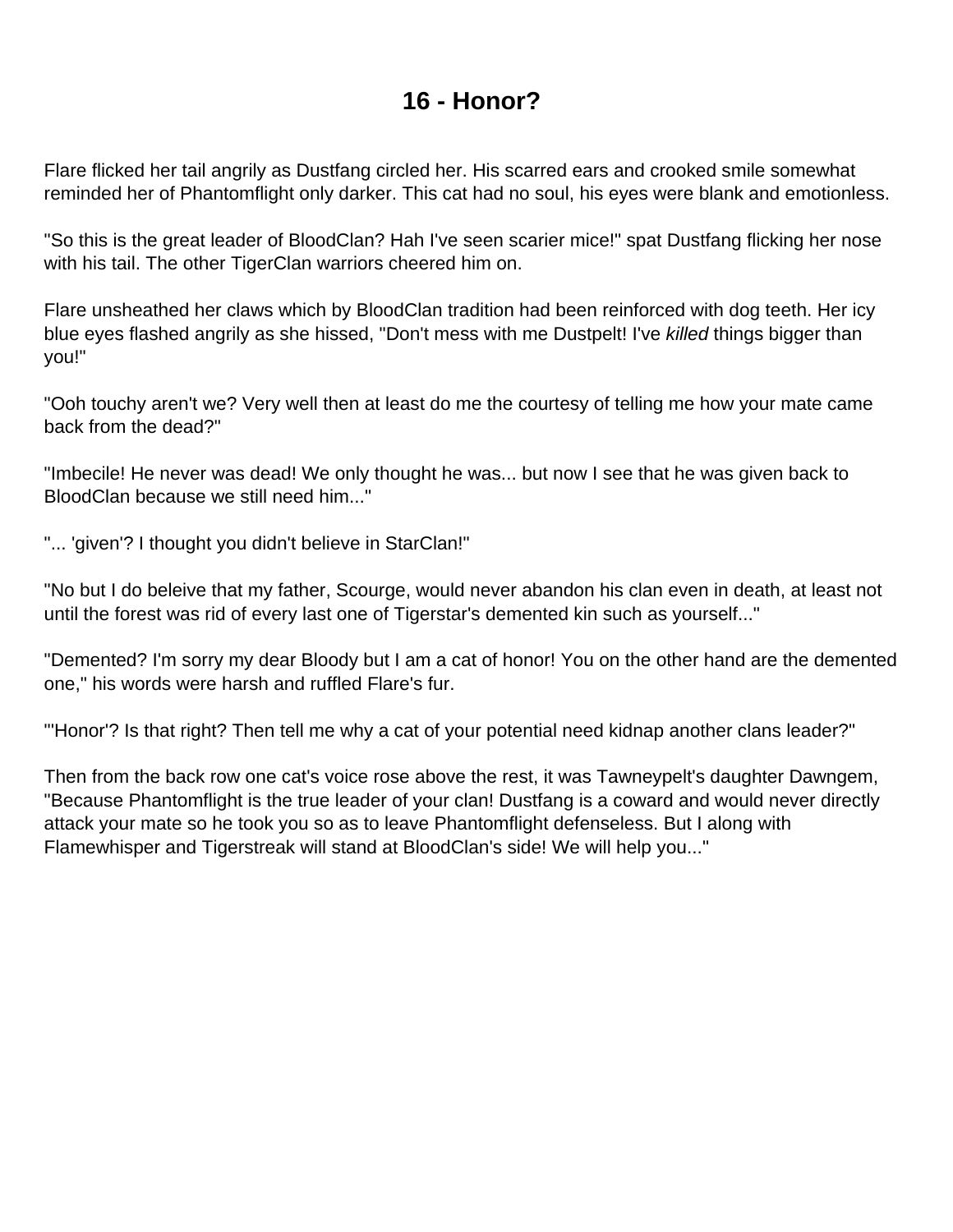## **16 - Honor?**

<span id="page-17-0"></span>Flare flicked her tail angrily as Dustfang circled her. His scarred ears and crooked smile somewhat reminded her of Phantomflight only darker. This cat had no soul, his eyes were blank and emotionless.

"So this is the great leader of BloodClan? Hah I've seen scarier mice!" spat Dustfang flicking her nose with his tail. The other TigerClan warriors cheered him on.

Flare unsheathed her claws which by BloodClan tradition had been reinforced with dog teeth. Her icy blue eyes flashed angrily as she hissed, "Don't mess with me Dustpelt! I've killed things bigger than you!"

"Ooh touchy aren't we? Very well then at least do me the courtesy of telling me how your mate came back from the dead?"

"Imbecile! He never was dead! We only thought he was... but now I see that he was given back to BloodClan because we still need him..."

"... 'given'? I thought you didn't believe in StarClan!"

"No but I do beleive that my father, Scourge, would never abandon his clan even in death, at least not until the forest was rid of every last one of Tigerstar's demented kin such as yourself..."

"Demented? I'm sorry my dear Bloody but I am a cat of honor! You on the other hand are the demented one," his words were harsh and ruffled Flare's fur.

"'Honor'? Is that right? Then tell me why a cat of your potential need kidnap another clans leader?"

Then from the back row one cat's voice rose above the rest, it was Tawneypelt's daughter Dawngem, "Because Phantomflight is the true leader of your clan! Dustfang is a coward and would never directly attack your mate so he took you so as to leave Phantomflight defenseless. But I along with Flamewhisper and Tigerstreak will stand at BloodClan's side! We will help you..."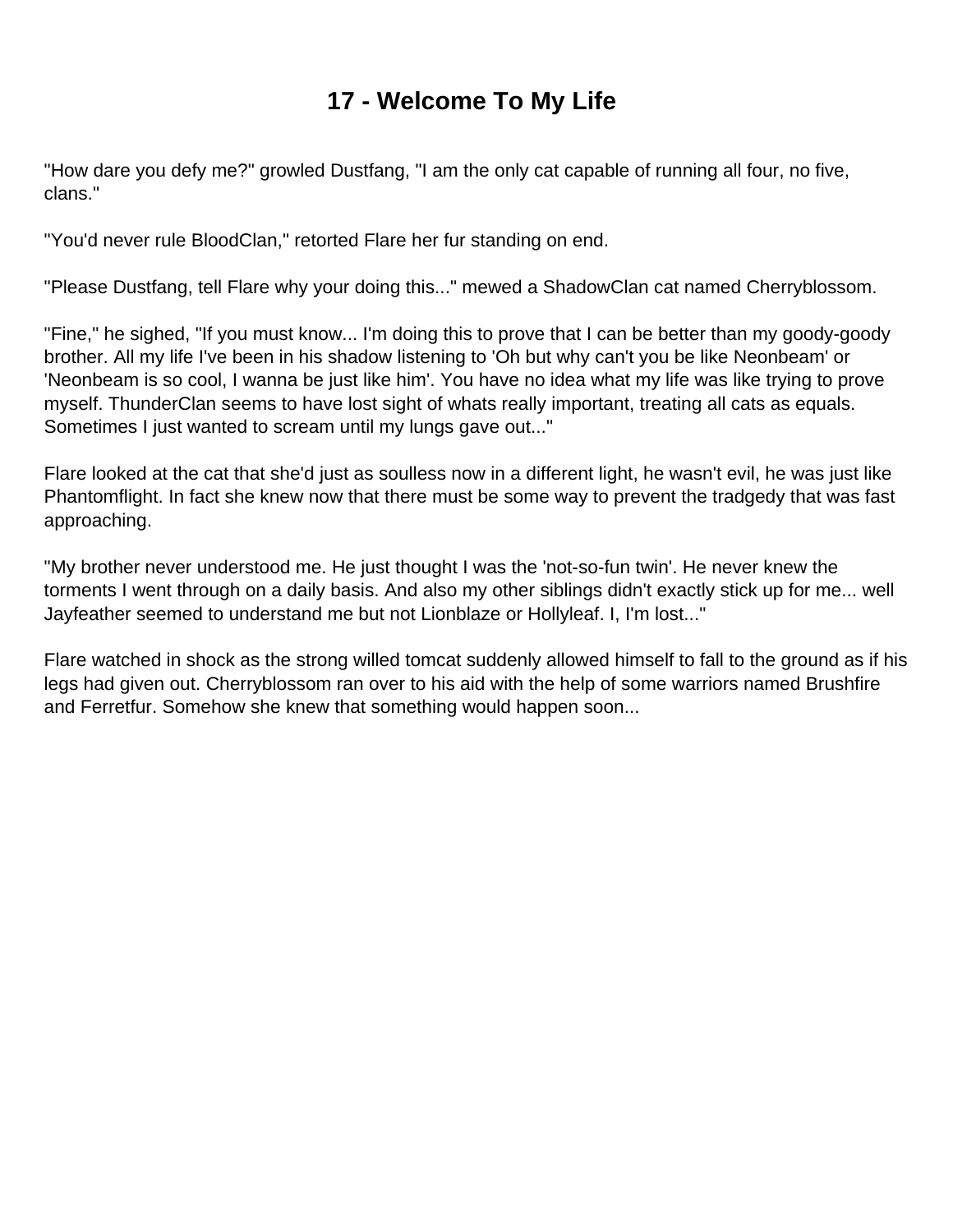## **17 - Welcome To My Life**

<span id="page-18-0"></span>"How dare you defy me?" growled Dustfang, "I am the only cat capable of running all four, no five, clans."

"You'd never rule BloodClan," retorted Flare her fur standing on end.

"Please Dustfang, tell Flare why your doing this..." mewed a ShadowClan cat named Cherryblossom.

"Fine," he sighed, "If you must know... I'm doing this to prove that I can be better than my goody-goody brother. All my life I've been in his shadow listening to 'Oh but why can't you be like Neonbeam' or 'Neonbeam is so cool, I wanna be just like him'. You have no idea what my life was like trying to prove myself. ThunderClan seems to have lost sight of whats really important, treating all cats as equals. Sometimes I just wanted to scream until my lungs gave out..."

Flare looked at the cat that she'd just as soulless now in a different light, he wasn't evil, he was just like Phantomflight. In fact she knew now that there must be some way to prevent the tradgedy that was fast approaching.

"My brother never understood me. He just thought I was the 'not-so-fun twin'. He never knew the torments I went through on a daily basis. And also my other siblings didn't exactly stick up for me... well Jayfeather seemed to understand me but not Lionblaze or Hollyleaf. I, I'm lost..."

Flare watched in shock as the strong willed tomcat suddenly allowed himself to fall to the ground as if his legs had given out. Cherryblossom ran over to his aid with the help of some warriors named Brushfire and Ferretfur. Somehow she knew that something would happen soon...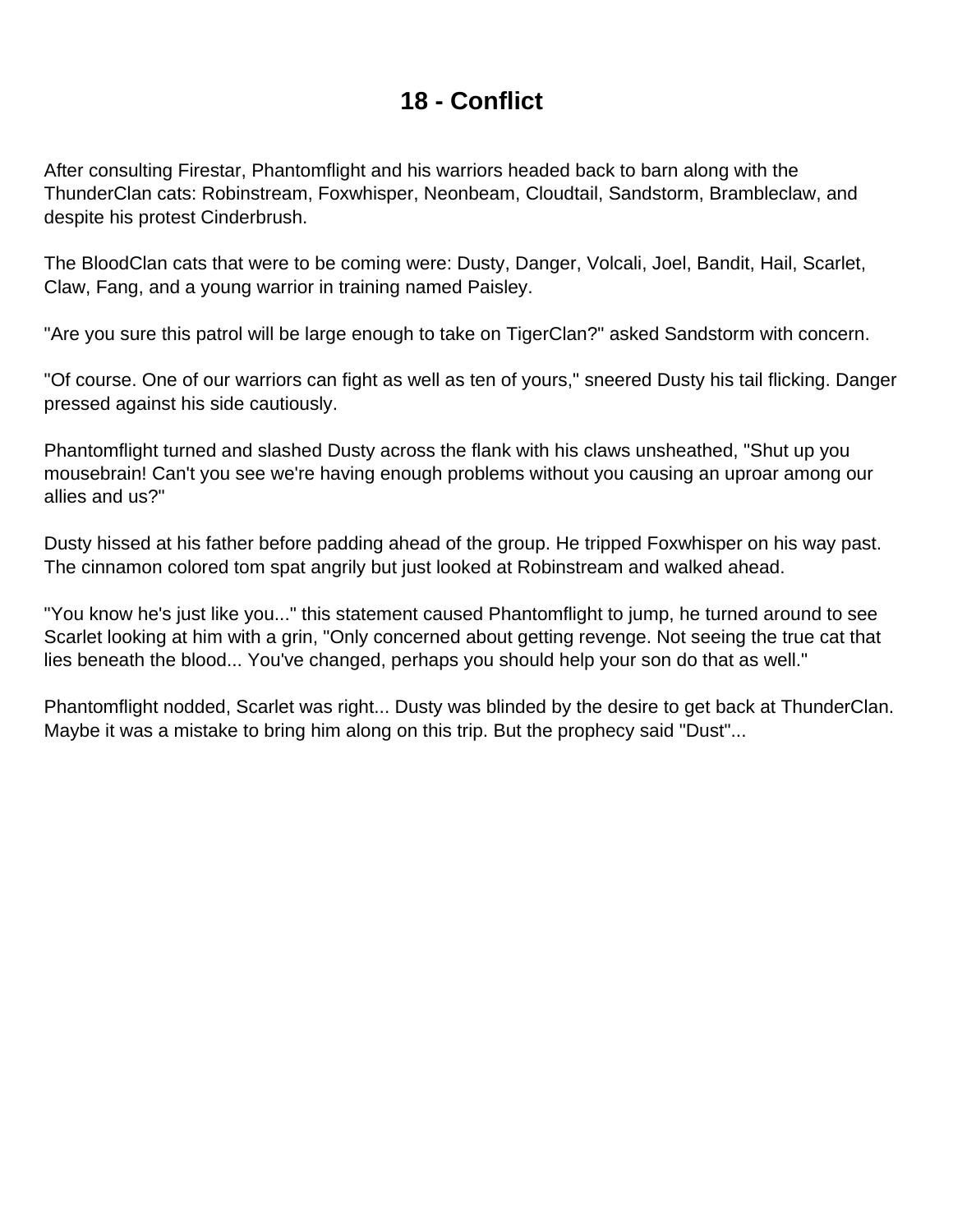## **18 - Conflict**

<span id="page-19-0"></span>After consulting Firestar, Phantomflight and his warriors headed back to barn along with the ThunderClan cats: Robinstream, Foxwhisper, Neonbeam, Cloudtail, Sandstorm, Brambleclaw, and despite his protest Cinderbrush.

The BloodClan cats that were to be coming were: Dusty, Danger, Volcali, Joel, Bandit, Hail, Scarlet, Claw, Fang, and a young warrior in training named Paisley.

"Are you sure this patrol will be large enough to take on TigerClan?" asked Sandstorm with concern.

"Of course. One of our warriors can fight as well as ten of yours," sneered Dusty his tail flicking. Danger pressed against his side cautiously.

Phantomflight turned and slashed Dusty across the flank with his claws unsheathed, "Shut up you mousebrain! Can't you see we're having enough problems without you causing an uproar among our allies and us?"

Dusty hissed at his father before padding ahead of the group. He tripped Foxwhisper on his way past. The cinnamon colored tom spat angrily but just looked at Robinstream and walked ahead.

"You know he's just like you..." this statement caused Phantomflight to jump, he turned around to see Scarlet looking at him with a grin, "Only concerned about getting revenge. Not seeing the true cat that lies beneath the blood... You've changed, perhaps you should help your son do that as well."

Phantomflight nodded, Scarlet was right... Dusty was blinded by the desire to get back at ThunderClan. Maybe it was a mistake to bring him along on this trip. But the prophecy said "Dust"...